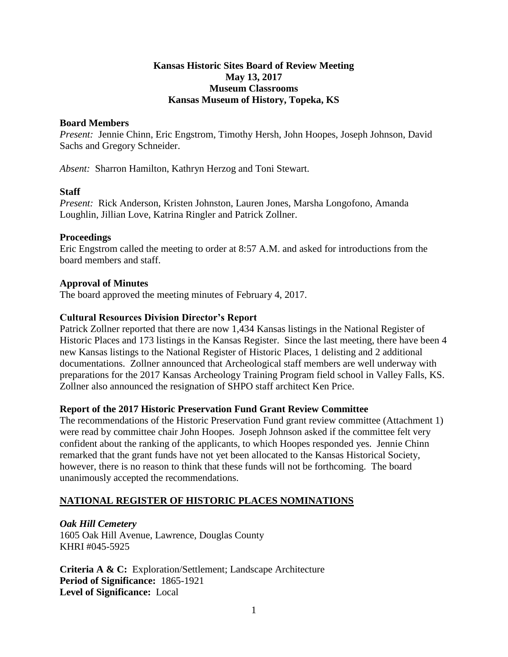## **Kansas Historic Sites Board of Review Meeting May 13, 2017 Museum Classrooms Kansas Museum of History, Topeka, KS**

## **Board Members**

*Present:* Jennie Chinn, Eric Engstrom, Timothy Hersh, John Hoopes, Joseph Johnson, David Sachs and Gregory Schneider.

*Absent:* Sharron Hamilton, Kathryn Herzog and Toni Stewart.

## **Staff**

*Present:* Rick Anderson, Kristen Johnston, Lauren Jones, Marsha Longofono, Amanda Loughlin, Jillian Love, Katrina Ringler and Patrick Zollner.

## **Proceedings**

Eric Engstrom called the meeting to order at 8:57 A.M. and asked for introductions from the board members and staff.

## **Approval of Minutes**

The board approved the meeting minutes of February 4, 2017.

## **Cultural Resources Division Director's Report**

Patrick Zollner reported that there are now 1,434 Kansas listings in the National Register of Historic Places and 173 listings in the Kansas Register. Since the last meeting, there have been 4 new Kansas listings to the National Register of Historic Places, 1 delisting and 2 additional documentations. Zollner announced that Archeological staff members are well underway with preparations for the 2017 Kansas Archeology Training Program field school in Valley Falls, KS. Zollner also announced the resignation of SHPO staff architect Ken Price.

## **Report of the 2017 Historic Preservation Fund Grant Review Committee**

The recommendations of the Historic Preservation Fund grant review committee (Attachment 1) were read by committee chair John Hoopes. Joseph Johnson asked if the committee felt very confident about the ranking of the applicants, to which Hoopes responded yes. Jennie Chinn remarked that the grant funds have not yet been allocated to the Kansas Historical Society, however, there is no reason to think that these funds will not be forthcoming. The board unanimously accepted the recommendations.

## **NATIONAL REGISTER OF HISTORIC PLACES NOMINATIONS**

*Oak Hill Cemetery* 1605 Oak Hill Avenue, Lawrence, Douglas County KHRI #045-5925

**Criteria A & C:** Exploration/Settlement; Landscape Architecture **Period of Significance:** 1865-1921 **Level of Significance:** Local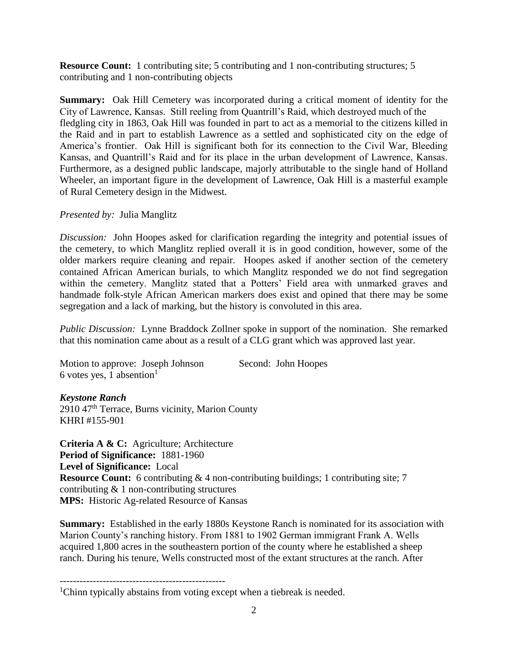**Resource Count:** 1 contributing site; 5 contributing and 1 non-contributing structures; 5 contributing and 1 non-contributing objects

**Summary:** Oak Hill Cemetery was incorporated during a critical moment of identity for the City of Lawrence, Kansas. Still reeling from Quantrill's Raid, which destroyed much of the fledgling city in 1863, Oak Hill was founded in part to act as a memorial to the citizens killed in the Raid and in part to establish Lawrence as a settled and sophisticated city on the edge of America's frontier. Oak Hill is significant both for its connection to the Civil War, Bleeding Kansas, and Quantrill's Raid and for its place in the urban development of Lawrence, Kansas. Furthermore, as a designed public landscape, majorly attributable to the single hand of Holland Wheeler, an important figure in the development of Lawrence, Oak Hill is a masterful example of Rural Cemetery design in the Midwest.

## *Presented by:* Julia Manglitz

*Discussion:* John Hoopes asked for clarification regarding the integrity and potential issues of the cemetery, to which Manglitz replied overall it is in good condition, however, some of the older markers require cleaning and repair. Hoopes asked if another section of the cemetery contained African American burials, to which Manglitz responded we do not find segregation within the cemetery. Manglitz stated that a Potters' Field area with unmarked graves and handmade folk-style African American markers does exist and opined that there may be some segregation and a lack of marking, but the history is convoluted in this area.

*Public Discussion:* Lynne Braddock Zollner spoke in support of the nomination. She remarked that this nomination came about as a result of a CLG grant which was approved last year.

| Motion to approve: Joseph Johnson | Second: John Hoopes |
|-----------------------------------|---------------------|
| 6 votes yes, 1 absention          |                     |

## *Keystone Ranch*

2910 47th Terrace, Burns vicinity, Marion County KHRI #155-901

**Criteria A & C:** Agriculture; Architecture **Period of Significance:** 1881-1960 **Level of Significance:** Local **Resource Count:** 6 contributing & 4 non-contributing buildings; 1 contributing site; 7 contributing & 1 non-contributing structures **MPS:** Historic Ag-related Resource of Kansas

**Summary:** Established in the early 1880s Keystone Ranch is nominated for its association with Marion County's ranching history. From 1881 to 1902 German immigrant Frank A. Wells acquired 1,800 acres in the southeastern portion of the county where he established a sheep ranch. During his tenure, Wells constructed most of the extant structures at the ranch. After

<sup>--------------------------------------------------</sup> <sup>1</sup>Chinn typically abstains from voting except when a tiebreak is needed.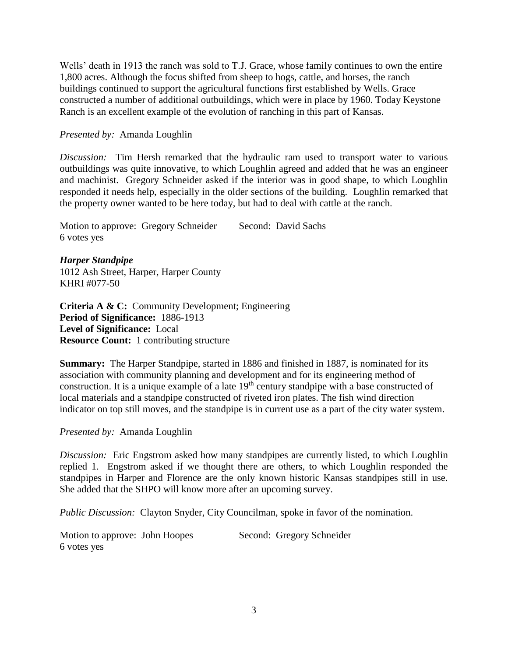Wells' death in 1913 the ranch was sold to T.J. Grace, whose family continues to own the entire 1,800 acres. Although the focus shifted from sheep to hogs, cattle, and horses, the ranch buildings continued to support the agricultural functions first established by Wells. Grace constructed a number of additional outbuildings, which were in place by 1960. Today Keystone Ranch is an excellent example of the evolution of ranching in this part of Kansas.

#### *Presented by:* Amanda Loughlin

*Discussion:* Tim Hersh remarked that the hydraulic ram used to transport water to various outbuildings was quite innovative, to which Loughlin agreed and added that he was an engineer and machinist. Gregory Schneider asked if the interior was in good shape, to which Loughlin responded it needs help, especially in the older sections of the building. Loughlin remarked that the property owner wanted to be here today, but had to deal with cattle at the ranch.

Motion to approve: Gregory Schneider Second: David Sachs 6 votes yes

*Harper Standpipe* 1012 Ash Street, Harper, Harper County KHRI #077-50

**Criteria A & C:** Community Development; Engineering **Period of Significance:** 1886-1913 **Level of Significance:** Local **Resource Count:** 1 contributing structure

**Summary:** The Harper Standpipe, started in 1886 and finished in 1887, is nominated for its association with community planning and development and for its engineering method of construction. It is a unique example of a late  $19<sup>th</sup>$  century standpipe with a base constructed of local materials and a standpipe constructed of riveted iron plates. The fish wind direction indicator on top still moves, and the standpipe is in current use as a part of the city water system.

#### *Presented by:* Amanda Loughlin

*Discussion:* Eric Engstrom asked how many standpipes are currently listed, to which Loughlin replied 1. Engstrom asked if we thought there are others, to which Loughlin responded the standpipes in Harper and Florence are the only known historic Kansas standpipes still in use. She added that the SHPO will know more after an upcoming survey.

*Public Discussion:* Clayton Snyder, City Councilman, spoke in favor of the nomination.

Motion to approve: John Hoopes Second: Gregory Schneider 6 votes yes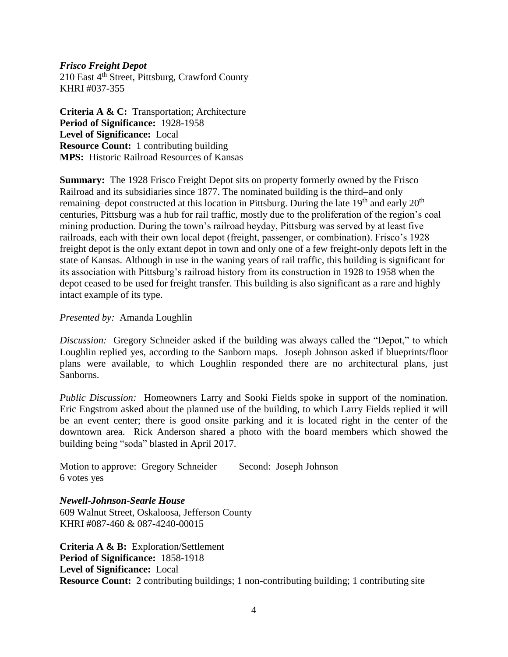#### *Frisco Freight Depot*

 $210$  East  $4<sup>th</sup>$  Street, Pittsburg, Crawford County KHRI #037-355

**Criteria A & C:** Transportation; Architecture **Period of Significance:** 1928-1958 **Level of Significance:** Local **Resource Count:** 1 contributing building **MPS:** Historic Railroad Resources of Kansas

**Summary:** The 1928 Frisco Freight Depot sits on property formerly owned by the Frisco Railroad and its subsidiaries since 1877. The nominated building is the third–and only remaining–depot constructed at this location in Pittsburg. During the late  $19<sup>th</sup>$  and early  $20<sup>th</sup>$ centuries, Pittsburg was a hub for rail traffic, mostly due to the proliferation of the region's coal mining production. During the town's railroad heyday, Pittsburg was served by at least five railroads, each with their own local depot (freight, passenger, or combination). Frisco's 1928 freight depot is the only extant depot in town and only one of a few freight-only depots left in the state of Kansas. Although in use in the waning years of rail traffic, this building is significant for its association with Pittsburg's railroad history from its construction in 1928 to 1958 when the depot ceased to be used for freight transfer. This building is also significant as a rare and highly intact example of its type.

#### *Presented by:* Amanda Loughlin

*Discussion:* Gregory Schneider asked if the building was always called the "Depot," to which Loughlin replied yes, according to the Sanborn maps. Joseph Johnson asked if blueprints/floor plans were available, to which Loughlin responded there are no architectural plans, just Sanborns.

*Public Discussion:* Homeowners Larry and Sooki Fields spoke in support of the nomination. Eric Engstrom asked about the planned use of the building, to which Larry Fields replied it will be an event center; there is good onsite parking and it is located right in the center of the downtown area. Rick Anderson shared a photo with the board members which showed the building being "soda" blasted in April 2017.

Motion to approve: Gregory Schneider Second: Joseph Johnson 6 votes yes

*Newell-Johnson-Searle House* 609 Walnut Street, Oskaloosa, Jefferson County KHRI #087-460 & 087-4240-00015

**Criteria A & B:** Exploration/Settlement **Period of Significance:** 1858-1918 **Level of Significance:** Local **Resource Count:** 2 contributing buildings; 1 non-contributing building; 1 contributing site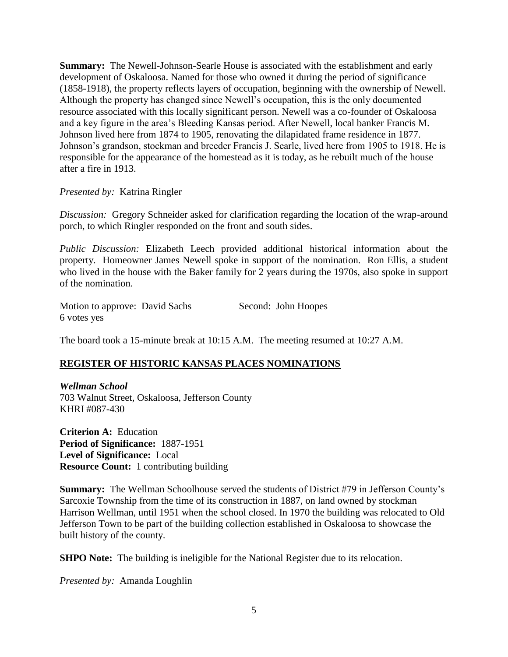**Summary:** The Newell-Johnson-Searle House is associated with the establishment and early development of Oskaloosa. Named for those who owned it during the period of significance (1858-1918), the property reflects layers of occupation, beginning with the ownership of Newell. Although the property has changed since Newell's occupation, this is the only documented resource associated with this locally significant person. Newell was a co-founder of Oskaloosa and a key figure in the area's Bleeding Kansas period. After Newell, local banker Francis M. Johnson lived here from 1874 to 1905, renovating the dilapidated frame residence in 1877. Johnson's grandson, stockman and breeder Francis J. Searle, lived here from 1905 to 1918. He is responsible for the appearance of the homestead as it is today, as he rebuilt much of the house after a fire in 1913.

*Presented by:* Katrina Ringler

*Discussion:* Gregory Schneider asked for clarification regarding the location of the wrap-around porch, to which Ringler responded on the front and south sides.

*Public Discussion:* Elizabeth Leech provided additional historical information about the property. Homeowner James Newell spoke in support of the nomination. Ron Ellis, a student who lived in the house with the Baker family for 2 years during the 1970s, also spoke in support of the nomination.

| Motion to approve: David Sachs |  | Second: John Hoopes |
|--------------------------------|--|---------------------|
| 6 votes yes                    |  |                     |

The board took a 15-minute break at 10:15 A.M. The meeting resumed at 10:27 A.M.

## **REGISTER OF HISTORIC KANSAS PLACES NOMINATIONS**

*Wellman School* 703 Walnut Street, Oskaloosa, Jefferson County KHRI #087-430

**Criterion A:** Education **Period of Significance:** 1887-1951 **Level of Significance:** Local **Resource Count:** 1 contributing building

**Summary:** The Wellman Schoolhouse served the students of District #79 in Jefferson County's Sarcoxie Township from the time of its construction in 1887, on land owned by stockman Harrison Wellman, until 1951 when the school closed. In 1970 the building was relocated to Old Jefferson Town to be part of the building collection established in Oskaloosa to showcase the built history of the county.

**SHPO Note:** The building is ineligible for the National Register due to its relocation.

*Presented by:* Amanda Loughlin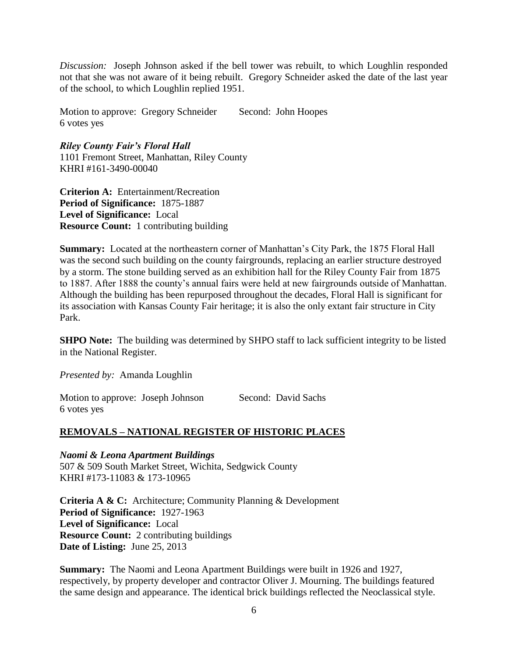*Discussion:* Joseph Johnson asked if the bell tower was rebuilt, to which Loughlin responded not that she was not aware of it being rebuilt. Gregory Schneider asked the date of the last year of the school, to which Loughlin replied 1951.

Motion to approve: Gregory Schneider Second: John Hoopes 6 votes yes

*Riley County Fair's Floral Hall* 1101 Fremont Street, Manhattan, Riley County KHRI #161-3490-00040

**Criterion A:** Entertainment/Recreation **Period of Significance:** 1875-1887 **Level of Significance:** Local **Resource Count:** 1 contributing building

**Summary:** Located at the northeastern corner of Manhattan's City Park, the 1875 Floral Hall was the second such building on the county fairgrounds, replacing an earlier structure destroyed by a storm. The stone building served as an exhibition hall for the Riley County Fair from 1875 to 1887. After 1888 the county's annual fairs were held at new fairgrounds outside of Manhattan. Although the building has been repurposed throughout the decades, Floral Hall is significant for its association with Kansas County Fair heritage; it is also the only extant fair structure in City Park.

**SHPO Note:** The building was determined by SHPO staff to lack sufficient integrity to be listed in the National Register.

*Presented by:* Amanda Loughlin

Motion to approve: Joseph Johnson Second: David Sachs 6 votes yes

## **REMOVALS – NATIONAL REGISTER OF HISTORIC PLACES**

*Naomi & Leona Apartment Buildings* 507 & 509 South Market Street, Wichita, Sedgwick County KHRI #173-11083 & 173-10965

**Criteria A & C:** Architecture; Community Planning & Development **Period of Significance:** 1927-1963 **Level of Significance:** Local **Resource Count:** 2 contributing buildings **Date of Listing:** June 25, 2013

**Summary:** The Naomi and Leona Apartment Buildings were built in 1926 and 1927, respectively, by property developer and contractor Oliver J. Mourning. The buildings featured the same design and appearance. The identical brick buildings reflected the Neoclassical style.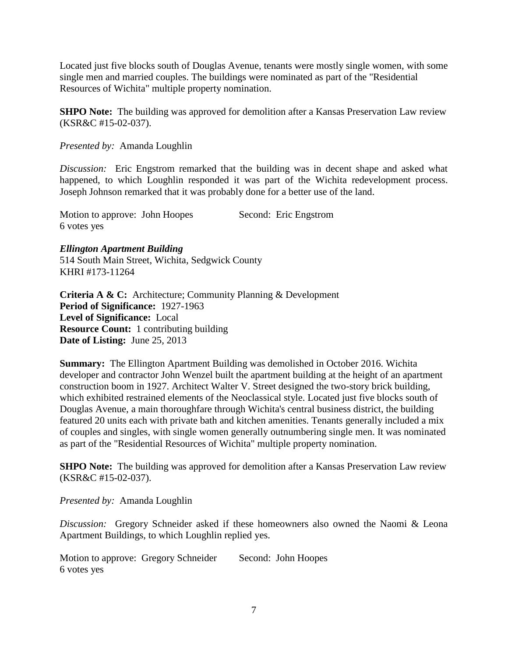Located just five blocks south of Douglas Avenue, tenants were mostly single women, with some single men and married couples. The buildings were nominated as part of the "Residential Resources of Wichita" multiple property nomination.

**SHPO Note:** The building was approved for demolition after a Kansas Preservation Law review (KSR&C #15-02-037).

*Presented by:* Amanda Loughlin

*Discussion:* Eric Engstrom remarked that the building was in decent shape and asked what happened, to which Loughlin responded it was part of the Wichita redevelopment process. Joseph Johnson remarked that it was probably done for a better use of the land.

Motion to approve: John Hoopes Second: Eric Engstrom 6 votes yes

*Ellington Apartment Building*

514 South Main Street, Wichita, Sedgwick County KHRI #173-11264

**Criteria A & C:** Architecture; Community Planning & Development **Period of Significance:** 1927-1963 **Level of Significance:** Local **Resource Count:** 1 contributing building **Date of Listing:** June 25, 2013

**Summary:** The Ellington Apartment Building was demolished in October 2016. Wichita developer and contractor John Wenzel built the apartment building at the height of an apartment construction boom in 1927. Architect Walter V. Street designed the two-story brick building, which exhibited restrained elements of the Neoclassical style. Located just five blocks south of Douglas Avenue, a main thoroughfare through Wichita's central business district, the building featured 20 units each with private bath and kitchen amenities. Tenants generally included a mix of couples and singles, with single women generally outnumbering single men. It was nominated as part of the "Residential Resources of Wichita" multiple property nomination.

**SHPO Note:** The building was approved for demolition after a Kansas Preservation Law review (KSR&C #15-02-037).

*Presented by:* Amanda Loughlin

*Discussion:* Gregory Schneider asked if these homeowners also owned the Naomi & Leona Apartment Buildings, to which Loughlin replied yes.

Motion to approve: Gregory Schneider Second: John Hoopes 6 votes yes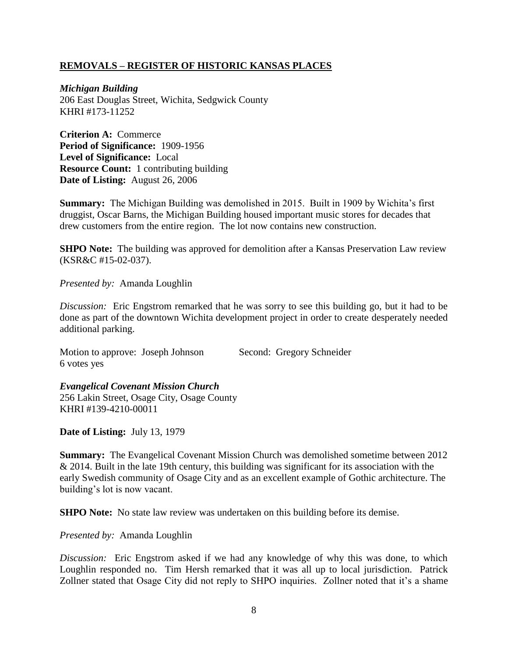## **REMOVALS – REGISTER OF HISTORIC KANSAS PLACES**

*Michigan Building* 206 East Douglas Street, Wichita, Sedgwick County KHRI #173-11252

**Criterion A:** Commerce **Period of Significance:** 1909-1956 **Level of Significance:** Local **Resource Count:** 1 contributing building **Date of Listing:** August 26, 2006

**Summary:** The Michigan Building was demolished in 2015. Built in 1909 by Wichita's first druggist, Oscar Barns, the Michigan Building housed important music stores for decades that drew customers from the entire region. The lot now contains new construction.

**SHPO Note:** The building was approved for demolition after a Kansas Preservation Law review (KSR&C #15-02-037).

*Presented by:* Amanda Loughlin

*Discussion:* Eric Engstrom remarked that he was sorry to see this building go, but it had to be done as part of the downtown Wichita development project in order to create desperately needed additional parking.

Motion to approve: Joseph Johnson Second: Gregory Schneider 6 votes yes

*Evangelical Covenant Mission Church* 256 Lakin Street, Osage City, Osage County KHRI #139-4210-00011

**Date of Listing:** July 13, 1979

**Summary:** The Evangelical Covenant Mission Church was demolished sometime between 2012 & 2014. Built in the late 19th century, this building was significant for its association with the early Swedish community of Osage City and as an excellent example of Gothic architecture. The building's lot is now vacant.

**SHPO Note:** No state law review was undertaken on this building before its demise.

*Presented by:* Amanda Loughlin

*Discussion:* Eric Engstrom asked if we had any knowledge of why this was done, to which Loughlin responded no. Tim Hersh remarked that it was all up to local jurisdiction. Patrick Zollner stated that Osage City did not reply to SHPO inquiries. Zollner noted that it's a shame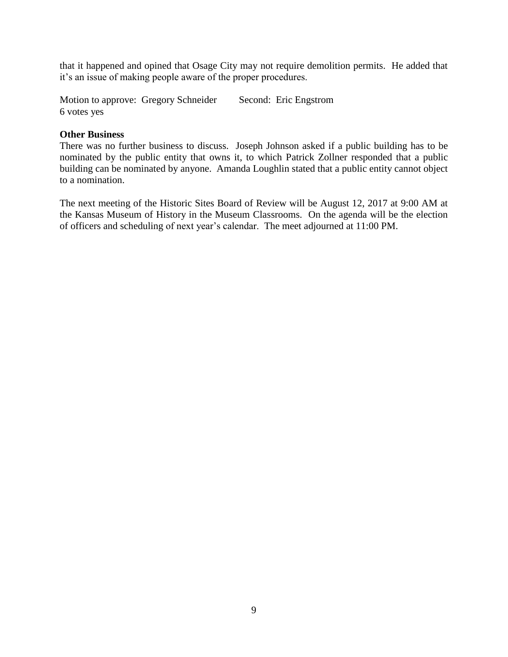that it happened and opined that Osage City may not require demolition permits. He added that it's an issue of making people aware of the proper procedures.

Motion to approve: Gregory Schneider Second: Eric Engstrom 6 votes yes

#### **Other Business**

There was no further business to discuss. Joseph Johnson asked if a public building has to be nominated by the public entity that owns it, to which Patrick Zollner responded that a public building can be nominated by anyone. Amanda Loughlin stated that a public entity cannot object to a nomination.

The next meeting of the Historic Sites Board of Review will be August 12, 2017 at 9:00 AM at the Kansas Museum of History in the Museum Classrooms. On the agenda will be the election of officers and scheduling of next year's calendar. The meet adjourned at 11:00 PM.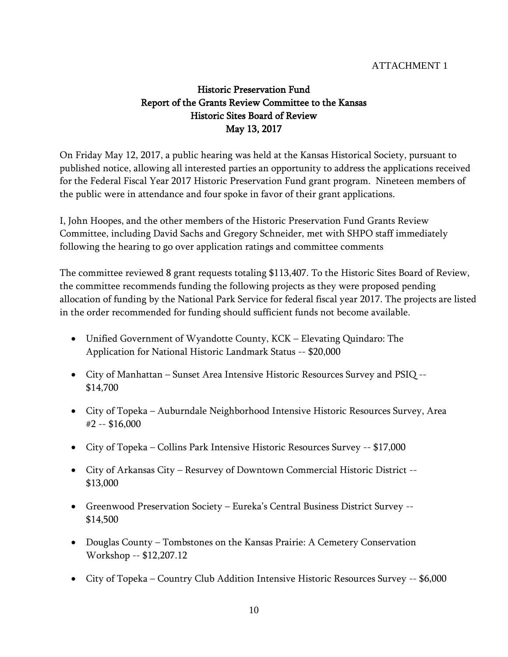## ATTACHMENT 1

# Historic Preservation Fund Report of the Grants Review Committee to the Kansas Historic Sites Board of Review May 13, 2017

On Friday May 12, 2017, a public hearing was held at the Kansas Historical Society, pursuant to published notice, allowing all interested parties an opportunity to address the applications received for the Federal Fiscal Year 2017 Historic Preservation Fund grant program. Nineteen members of the public were in attendance and four spoke in favor of their grant applications.

I, John Hoopes, and the other members of the Historic Preservation Fund Grants Review Committee, including David Sachs and Gregory Schneider, met with SHPO staff immediately following the hearing to go over application ratings and committee comments

The committee reviewed 8 grant requests totaling \$113,407. To the Historic Sites Board of Review, the committee recommends funding the following projects as they were proposed pending allocation of funding by the National Park Service for federal fiscal year 2017. The projects are listed in the order recommended for funding should sufficient funds not become available.

- Unified Government of Wyandotte County, KCK Elevating Quindaro: The Application for National Historic Landmark Status -- \$20,000
- City of Manhattan Sunset Area Intensive Historic Resources Survey and PSIQ -- \$14,700
- City of Topeka Auburndale Neighborhood Intensive Historic Resources Survey, Area #2 -- \$16,000
- City of Topeka Collins Park Intensive Historic Resources Survey -- \$17,000
- City of Arkansas City Resurvey of Downtown Commercial Historic District -- \$13,000
- Greenwood Preservation Society Eureka's Central Business District Survey -- \$14,500
- Douglas County Tombstones on the Kansas Prairie: A Cemetery Conservation Workshop -- \$12,207.12
- City of Topeka Country Club Addition Intensive Historic Resources Survey -- \$6,000